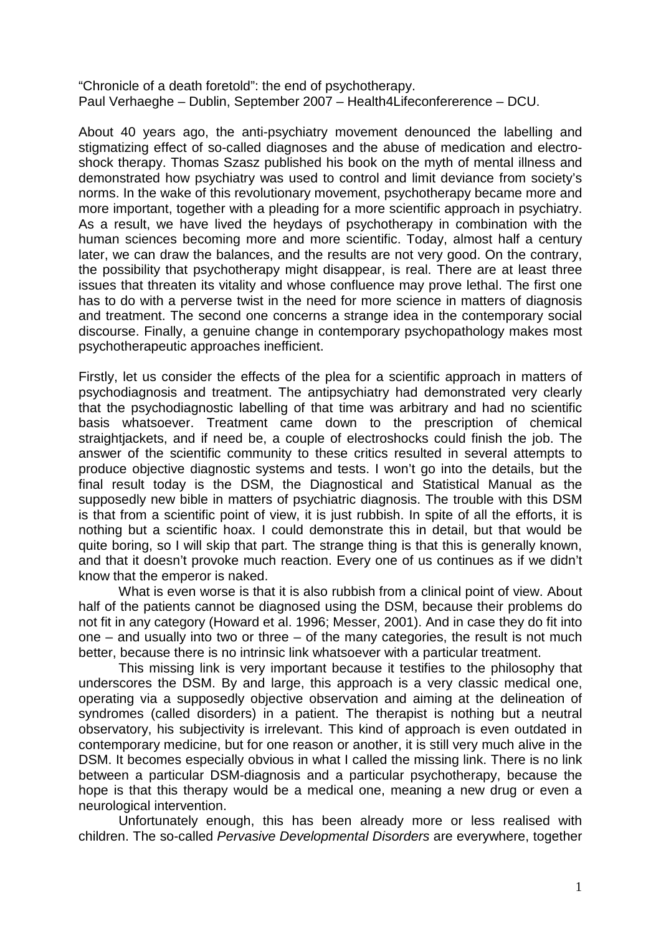"Chronicle of a death foretold": the end of psychotherapy. Paul Verhaeghe – Dublin, September 2007 – Health4Lifeconfererence – DCU.

About 40 years ago, the anti-psychiatry movement denounced the labelling and stigmatizing effect of so-called diagnoses and the abuse of medication and electroshock therapy. Thomas Szasz published his book on the myth of mental illness and demonstrated how psychiatry was used to control and limit deviance from society's norms. In the wake of this revolutionary movement, psychotherapy became more and more important, together with a pleading for a more scientific approach in psychiatry. As a result, we have lived the heydays of psychotherapy in combination with the human sciences becoming more and more scientific. Today, almost half a century later, we can draw the balances, and the results are not very good. On the contrary, the possibility that psychotherapy might disappear, is real. There are at least three issues that threaten its vitality and whose confluence may prove lethal. The first one has to do with a perverse twist in the need for more science in matters of diagnosis and treatment. The second one concerns a strange idea in the contemporary social discourse. Finally, a genuine change in contemporary psychopathology makes most psychotherapeutic approaches inefficient.

Firstly, let us consider the effects of the plea for a scientific approach in matters of psychodiagnosis and treatment. The antipsychiatry had demonstrated very clearly that the psychodiagnostic labelling of that time was arbitrary and had no scientific basis whatsoever. Treatment came down to the prescription of chemical straightjackets, and if need be, a couple of electroshocks could finish the job. The answer of the scientific community to these critics resulted in several attempts to produce objective diagnostic systems and tests. I won't go into the details, but the final result today is the DSM, the Diagnostical and Statistical Manual as the supposedly new bible in matters of psychiatric diagnosis. The trouble with this DSM is that from a scientific point of view, it is just rubbish. In spite of all the efforts, it is nothing but a scientific hoax. I could demonstrate this in detail, but that would be quite boring, so I will skip that part. The strange thing is that this is generally known, and that it doesn't provoke much reaction. Every one of us continues as if we didn't know that the emperor is naked.

What is even worse is that it is also rubbish from a clinical point of view. About half of the patients cannot be diagnosed using the DSM, because their problems do not fit in any category (Howard et al. 1996; Messer, 2001). And in case they do fit into one – and usually into two or three – of the many categories, the result is not much better, because there is no intrinsic link whatsoever with a particular treatment.

This missing link is very important because it testifies to the philosophy that underscores the DSM. By and large, this approach is a very classic medical one, operating via a supposedly objective observation and aiming at the delineation of syndromes (called disorders) in a patient. The therapist is nothing but a neutral observatory, his subjectivity is irrelevant. This kind of approach is even outdated in contemporary medicine, but for one reason or another, it is still very much alive in the DSM. It becomes especially obvious in what I called the missing link. There is no link between a particular DSM-diagnosis and a particular psychotherapy, because the hope is that this therapy would be a medical one, meaning a new drug or even a neurological intervention.

Unfortunately enough, this has been already more or less realised with children. The so-called *Pervasive Developmental Disorders* are everywhere, together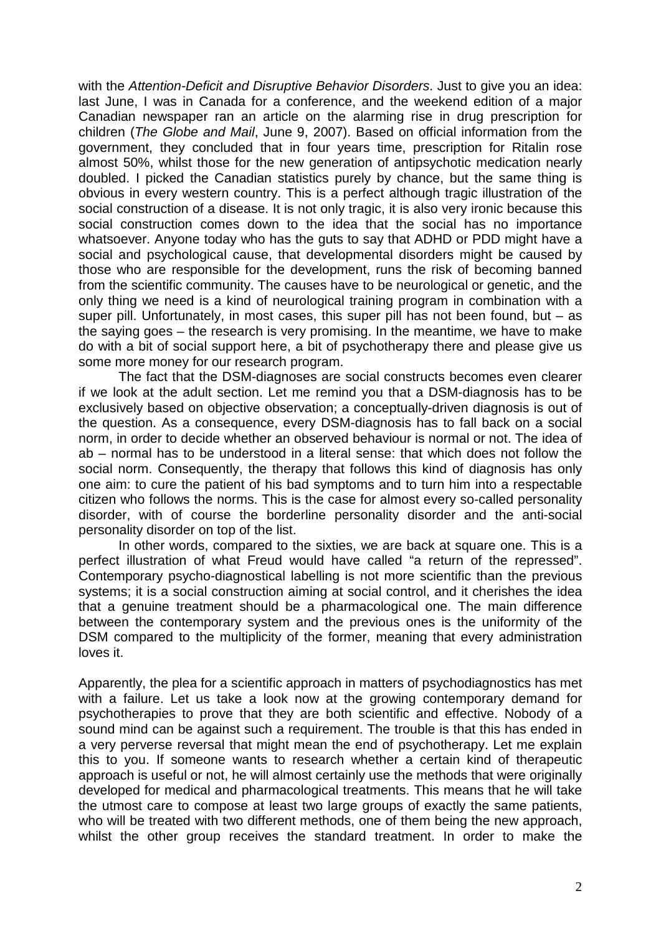with the *Attention-Deficit and Disruptive Behavior Disorders*. Just to give you an idea: last June, I was in Canada for a conference, and the weekend edition of a major Canadian newspaper ran an article on the alarming rise in drug prescription for children (*The Globe and Mail*, June 9, 2007). Based on official information from the government, they concluded that in four years time, prescription for Ritalin rose almost 50%, whilst those for the new generation of antipsychotic medication nearly doubled. I picked the Canadian statistics purely by chance, but the same thing is obvious in every western country. This is a perfect although tragic illustration of the social construction of a disease. It is not only tragic, it is also very ironic because this social construction comes down to the idea that the social has no importance whatsoever. Anyone today who has the guts to say that ADHD or PDD might have a social and psychological cause, that developmental disorders might be caused by those who are responsible for the development, runs the risk of becoming banned from the scientific community. The causes have to be neurological or genetic, and the only thing we need is a kind of neurological training program in combination with a super pill. Unfortunately, in most cases, this super pill has not been found, but  $-$  as the saying goes – the research is very promising. In the meantime, we have to make do with a bit of social support here, a bit of psychotherapy there and please give us some more money for our research program.

The fact that the DSM-diagnoses are social constructs becomes even clearer if we look at the adult section. Let me remind you that a DSM-diagnosis has to be exclusively based on objective observation; a conceptually-driven diagnosis is out of the question. As a consequence, every DSM-diagnosis has to fall back on a social norm, in order to decide whether an observed behaviour is normal or not. The idea of ab – normal has to be understood in a literal sense: that which does not follow the social norm. Consequently, the therapy that follows this kind of diagnosis has only one aim: to cure the patient of his bad symptoms and to turn him into a respectable citizen who follows the norms. This is the case for almost every so-called personality disorder, with of course the borderline personality disorder and the anti-social personality disorder on top of the list.

In other words, compared to the sixties, we are back at square one. This is a perfect illustration of what Freud would have called "a return of the repressed". Contemporary psycho-diagnostical labelling is not more scientific than the previous systems; it is a social construction aiming at social control, and it cherishes the idea that a genuine treatment should be a pharmacological one. The main difference between the contemporary system and the previous ones is the uniformity of the DSM compared to the multiplicity of the former, meaning that every administration loves it.

Apparently, the plea for a scientific approach in matters of psychodiagnostics has met with a failure. Let us take a look now at the growing contemporary demand for psychotherapies to prove that they are both scientific and effective. Nobody of a sound mind can be against such a requirement. The trouble is that this has ended in a very perverse reversal that might mean the end of psychotherapy. Let me explain this to you. If someone wants to research whether a certain kind of therapeutic approach is useful or not, he will almost certainly use the methods that were originally developed for medical and pharmacological treatments. This means that he will take the utmost care to compose at least two large groups of exactly the same patients, who will be treated with two different methods, one of them being the new approach, whilst the other group receives the standard treatment. In order to make the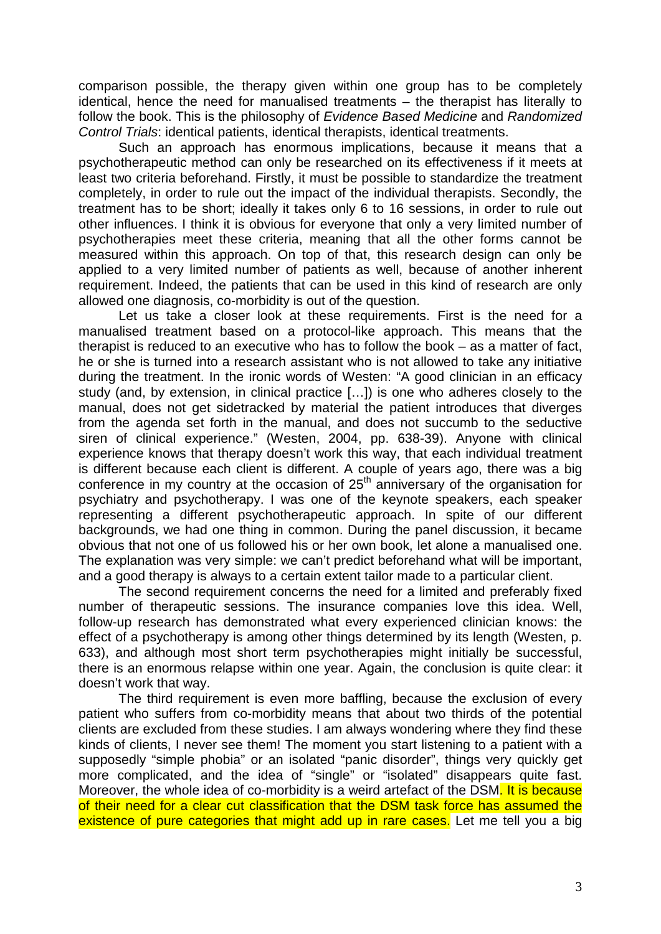comparison possible, the therapy given within one group has to be completely identical, hence the need for manualised treatments – the therapist has literally to follow the book. This is the philosophy of *Evidence Based Medicine* and *Randomized Control Trials*: identical patients, identical therapists, identical treatments.

Such an approach has enormous implications, because it means that a psychotherapeutic method can only be researched on its effectiveness if it meets at least two criteria beforehand. Firstly, it must be possible to standardize the treatment completely, in order to rule out the impact of the individual therapists. Secondly, the treatment has to be short; ideally it takes only 6 to 16 sessions, in order to rule out other influences. I think it is obvious for everyone that only a very limited number of psychotherapies meet these criteria, meaning that all the other forms cannot be measured within this approach. On top of that, this research design can only be applied to a very limited number of patients as well, because of another inherent requirement. Indeed, the patients that can be used in this kind of research are only allowed one diagnosis, co-morbidity is out of the question.

Let us take a closer look at these requirements. First is the need for a manualised treatment based on a protocol-like approach. This means that the therapist is reduced to an executive who has to follow the book – as a matter of fact, he or she is turned into a research assistant who is not allowed to take any initiative during the treatment. In the ironic words of Westen: "A good clinician in an efficacy study (and, by extension, in clinical practice […]) is one who adheres closely to the manual, does not get sidetracked by material the patient introduces that diverges from the agenda set forth in the manual, and does not succumb to the seductive siren of clinical experience." (Westen, 2004, pp. 638-39). Anyone with clinical experience knows that therapy doesn't work this way, that each individual treatment is different because each client is different. A couple of years ago, there was a big conference in my country at the occasion of 25th anniversary of the organisation for psychiatry and psychotherapy. I was one of the keynote speakers, each speaker representing a different psychotherapeutic approach. In spite of our different backgrounds, we had one thing in common. During the panel discussion, it became obvious that not one of us followed his or her own book, let alone a manualised one. The explanation was very simple: we can't predict beforehand what will be important, and a good therapy is always to a certain extent tailor made to a particular client.

The second requirement concerns the need for a limited and preferably fixed number of therapeutic sessions. The insurance companies love this idea. Well, follow-up research has demonstrated what every experienced clinician knows: the effect of a psychotherapy is among other things determined by its length (Westen, p. 633), and although most short term psychotherapies might initially be successful, there is an enormous relapse within one year. Again, the conclusion is quite clear: it doesn't work that way.

The third requirement is even more baffling, because the exclusion of every patient who suffers from co-morbidity means that about two thirds of the potential clients are excluded from these studies. I am always wondering where they find these kinds of clients, I never see them! The moment you start listening to a patient with a supposedly "simple phobia" or an isolated "panic disorder", things very quickly get more complicated, and the idea of "single" or "isolated" disappears quite fast. Moreover, the whole idea of co-morbidity is a weird artefact of the DSM. It is because of their need for a clear cut classification that the DSM task force has assumed the existence of pure categories that might add up in rare cases. Let me tell you a big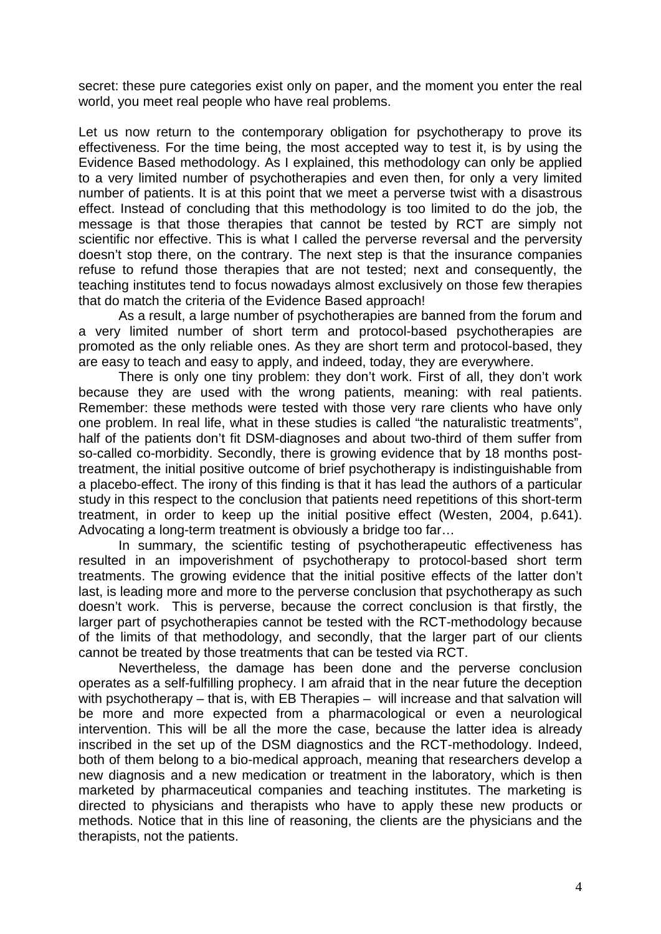secret: these pure categories exist only on paper, and the moment you enter the real world, you meet real people who have real problems.

Let us now return to the contemporary obligation for psychotherapy to prove its effectiveness. For the time being, the most accepted way to test it, is by using the Evidence Based methodology. As I explained, this methodology can only be applied to a very limited number of psychotherapies and even then, for only a very limited number of patients. It is at this point that we meet a perverse twist with a disastrous effect. Instead of concluding that this methodology is too limited to do the job, the message is that those therapies that cannot be tested by RCT are simply not scientific nor effective. This is what I called the perverse reversal and the perversity doesn't stop there, on the contrary. The next step is that the insurance companies refuse to refund those therapies that are not tested; next and consequently, the teaching institutes tend to focus nowadays almost exclusively on those few therapies that do match the criteria of the Evidence Based approach!

As a result, a large number of psychotherapies are banned from the forum and a very limited number of short term and protocol-based psychotherapies are promoted as the only reliable ones. As they are short term and protocol-based, they are easy to teach and easy to apply, and indeed, today, they are everywhere.

There is only one tiny problem: they don't work. First of all, they don't work because they are used with the wrong patients, meaning: with real patients. Remember: these methods were tested with those very rare clients who have only one problem. In real life, what in these studies is called "the naturalistic treatments", half of the patients don't fit DSM-diagnoses and about two-third of them suffer from so-called co-morbidity. Secondly, there is growing evidence that by 18 months posttreatment, the initial positive outcome of brief psychotherapy is indistinguishable from a placebo-effect. The irony of this finding is that it has lead the authors of a particular study in this respect to the conclusion that patients need repetitions of this short-term treatment, in order to keep up the initial positive effect (Westen, 2004, p.641). Advocating a long-term treatment is obviously a bridge too far…

In summary, the scientific testing of psychotherapeutic effectiveness has resulted in an impoverishment of psychotherapy to protocol-based short term treatments. The growing evidence that the initial positive effects of the latter don't last, is leading more and more to the perverse conclusion that psychotherapy as such doesn't work. This is perverse, because the correct conclusion is that firstly, the larger part of psychotherapies cannot be tested with the RCT-methodology because of the limits of that methodology, and secondly, that the larger part of our clients cannot be treated by those treatments that can be tested via RCT.

Nevertheless, the damage has been done and the perverse conclusion operates as a self-fulfilling prophecy. I am afraid that in the near future the deception with psychotherapy – that is, with EB Therapies – will increase and that salvation will be more and more expected from a pharmacological or even a neurological intervention. This will be all the more the case, because the latter idea is already inscribed in the set up of the DSM diagnostics and the RCT-methodology. Indeed, both of them belong to a bio-medical approach, meaning that researchers develop a new diagnosis and a new medication or treatment in the laboratory, which is then marketed by pharmaceutical companies and teaching institutes. The marketing is directed to physicians and therapists who have to apply these new products or methods. Notice that in this line of reasoning, the clients are the physicians and the therapists, not the patients.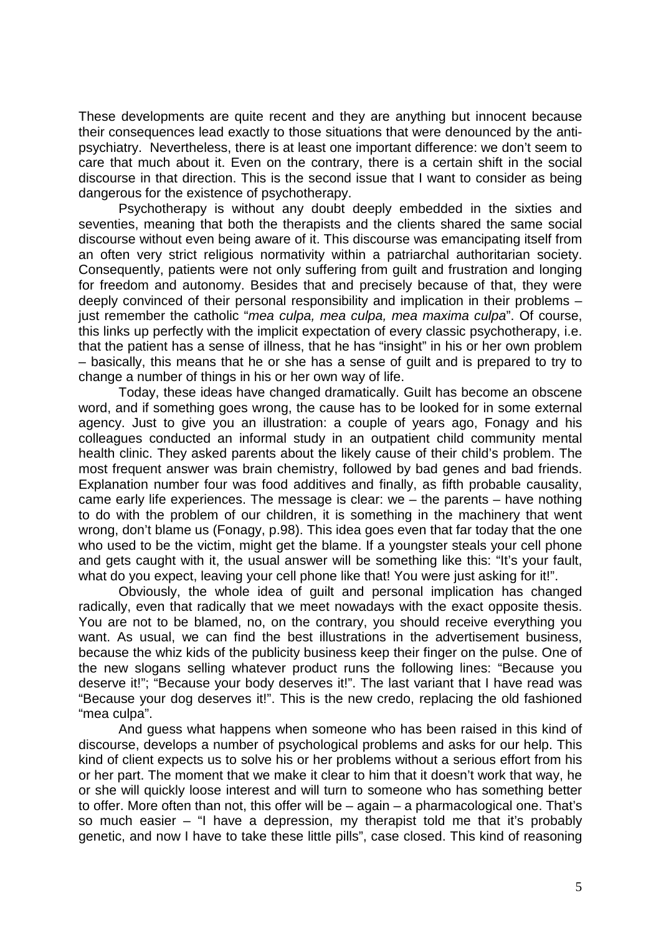These developments are quite recent and they are anything but innocent because their consequences lead exactly to those situations that were denounced by the antipsychiatry. Nevertheless, there is at least one important difference: we don't seem to care that much about it. Even on the contrary, there is a certain shift in the social discourse in that direction. This is the second issue that I want to consider as being dangerous for the existence of psychotherapy.

Psychotherapy is without any doubt deeply embedded in the sixties and seventies, meaning that both the therapists and the clients shared the same social discourse without even being aware of it. This discourse was emancipating itself from an often very strict religious normativity within a patriarchal authoritarian society. Consequently, patients were not only suffering from guilt and frustration and longing for freedom and autonomy. Besides that and precisely because of that, they were deeply convinced of their personal responsibility and implication in their problems – just remember the catholic "*mea culpa, mea culpa, mea maxima culpa*". Of course, this links up perfectly with the implicit expectation of every classic psychotherapy, i.e. that the patient has a sense of illness, that he has "insight" in his or her own problem – basically, this means that he or she has a sense of guilt and is prepared to try to change a number of things in his or her own way of life.

Today, these ideas have changed dramatically. Guilt has become an obscene word, and if something goes wrong, the cause has to be looked for in some external agency. Just to give you an illustration: a couple of years ago, Fonagy and his colleagues conducted an informal study in an outpatient child community mental health clinic. They asked parents about the likely cause of their child's problem. The most frequent answer was brain chemistry, followed by bad genes and bad friends. Explanation number four was food additives and finally, as fifth probable causality, came early life experiences. The message is clear: we – the parents – have nothing to do with the problem of our children, it is something in the machinery that went wrong, don't blame us (Fonagy, p.98). This idea goes even that far today that the one who used to be the victim, might get the blame. If a youngster steals your cell phone and gets caught with it, the usual answer will be something like this: "It's your fault, what do you expect, leaving your cell phone like that! You were just asking for it!".

Obviously, the whole idea of guilt and personal implication has changed radically, even that radically that we meet nowadays with the exact opposite thesis. You are not to be blamed, no, on the contrary, you should receive everything you want. As usual, we can find the best illustrations in the advertisement business, because the whiz kids of the publicity business keep their finger on the pulse. One of the new slogans selling whatever product runs the following lines: "Because you deserve it!"; "Because your body deserves it!". The last variant that I have read was "Because your dog deserves it!". This is the new credo, replacing the old fashioned "mea culpa".

And guess what happens when someone who has been raised in this kind of discourse, develops a number of psychological problems and asks for our help. This kind of client expects us to solve his or her problems without a serious effort from his or her part. The moment that we make it clear to him that it doesn't work that way, he or she will quickly loose interest and will turn to someone who has something better to offer. More often than not, this offer will be – again – a pharmacological one. That's so much easier – "I have a depression, my therapist told me that it's probably genetic, and now I have to take these little pills", case closed. This kind of reasoning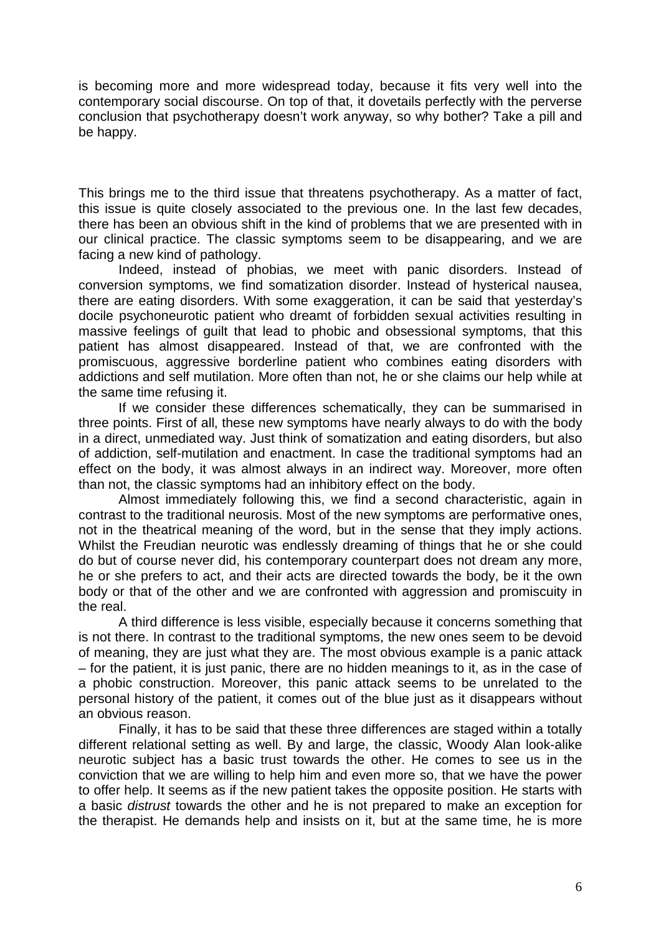is becoming more and more widespread today, because it fits very well into the contemporary social discourse. On top of that, it dovetails perfectly with the perverse conclusion that psychotherapy doesn't work anyway, so why bother? Take a pill and be happy.

This brings me to the third issue that threatens psychotherapy. As a matter of fact, this issue is quite closely associated to the previous one. In the last few decades, there has been an obvious shift in the kind of problems that we are presented with in our clinical practice. The classic symptoms seem to be disappearing, and we are facing a new kind of pathology.

Indeed, instead of phobias, we meet with panic disorders. Instead of conversion symptoms, we find somatization disorder. Instead of hysterical nausea, there are eating disorders. With some exaggeration, it can be said that yesterday's docile psychoneurotic patient who dreamt of forbidden sexual activities resulting in massive feelings of guilt that lead to phobic and obsessional symptoms, that this patient has almost disappeared. Instead of that, we are confronted with the promiscuous, aggressive borderline patient who combines eating disorders with addictions and self mutilation. More often than not, he or she claims our help while at the same time refusing it.

If we consider these differences schematically, they can be summarised in three points. First of all, these new symptoms have nearly always to do with the body in a direct, unmediated way. Just think of somatization and eating disorders, but also of addiction, self-mutilation and enactment. In case the traditional symptoms had an effect on the body, it was almost always in an indirect way. Moreover, more often than not, the classic symptoms had an inhibitory effect on the body.

Almost immediately following this, we find a second characteristic, again in contrast to the traditional neurosis. Most of the new symptoms are performative ones, not in the theatrical meaning of the word, but in the sense that they imply actions. Whilst the Freudian neurotic was endlessly dreaming of things that he or she could do but of course never did, his contemporary counterpart does not dream any more, he or she prefers to act, and their acts are directed towards the body, be it the own body or that of the other and we are confronted with aggression and promiscuity in the real.

A third difference is less visible, especially because it concerns something that is not there. In contrast to the traditional symptoms, the new ones seem to be devoid of meaning, they are just what they are. The most obvious example is a panic attack – for the patient, it is just panic, there are no hidden meanings to it, as in the case of a phobic construction. Moreover, this panic attack seems to be unrelated to the personal history of the patient, it comes out of the blue just as it disappears without an obvious reason.

Finally, it has to be said that these three differences are staged within a totally different relational setting as well. By and large, the classic, Woody Alan look-alike neurotic subject has a basic trust towards the other. He comes to see us in the conviction that we are willing to help him and even more so, that we have the power to offer help. It seems as if the new patient takes the opposite position. He starts with a basic *distrust* towards the other and he is not prepared to make an exception for the therapist. He demands help and insists on it, but at the same time, he is more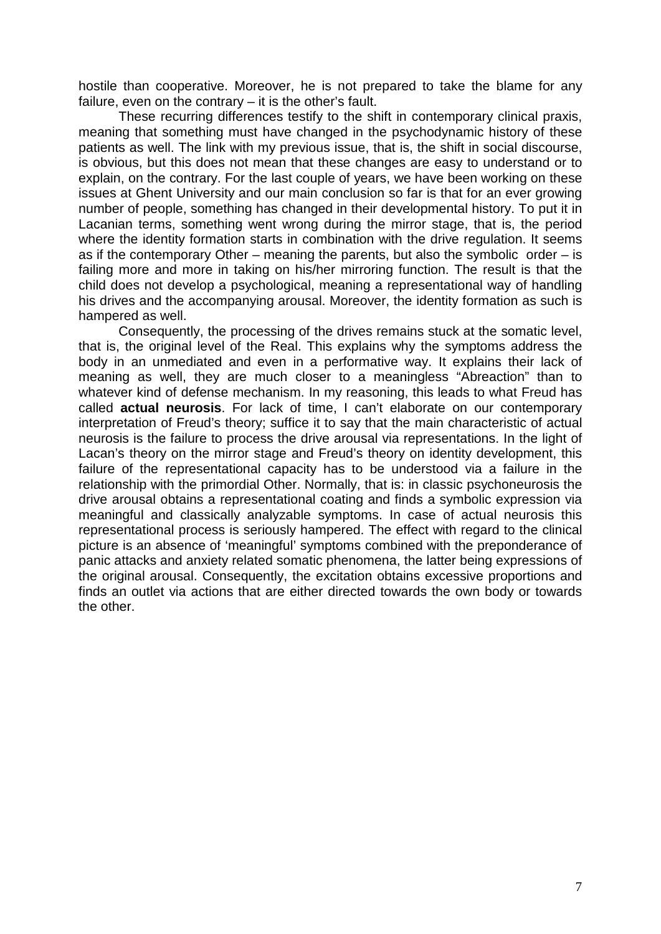hostile than cooperative. Moreover, he is not prepared to take the blame for any failure, even on the contrary – it is the other's fault.

These recurring differences testify to the shift in contemporary clinical praxis, meaning that something must have changed in the psychodynamic history of these patients as well. The link with my previous issue, that is, the shift in social discourse, is obvious, but this does not mean that these changes are easy to understand or to explain, on the contrary. For the last couple of years, we have been working on these issues at Ghent University and our main conclusion so far is that for an ever growing number of people, something has changed in their developmental history. To put it in Lacanian terms, something went wrong during the mirror stage, that is, the period where the identity formation starts in combination with the drive regulation. It seems as if the contemporary Other – meaning the parents, but also the symbolic order – is failing more and more in taking on his/her mirroring function. The result is that the child does not develop a psychological, meaning a representational way of handling his drives and the accompanying arousal. Moreover, the identity formation as such is hampered as well.

Consequently, the processing of the drives remains stuck at the somatic level, that is, the original level of the Real. This explains why the symptoms address the body in an unmediated and even in a performative way. It explains their lack of meaning as well, they are much closer to a meaningless "Abreaction" than to whatever kind of defense mechanism. In my reasoning, this leads to what Freud has called **actual neurosis**. For lack of time, I can't elaborate on our contemporary interpretation of Freud's theory; suffice it to say that the main characteristic of actual neurosis is the failure to process the drive arousal via representations. In the light of Lacan's theory on the mirror stage and Freud's theory on identity development, this failure of the representational capacity has to be understood via a failure in the relationship with the primordial Other. Normally, that is: in classic psychoneurosis the drive arousal obtains a representational coating and finds a symbolic expression via meaningful and classically analyzable symptoms. In case of actual neurosis this representational process is seriously hampered. The effect with regard to the clinical picture is an absence of 'meaningful' symptoms combined with the preponderance of panic attacks and anxiety related somatic phenomena, the latter being expressions of the original arousal. Consequently, the excitation obtains excessive proportions and finds an outlet via actions that are either directed towards the own body or towards the other.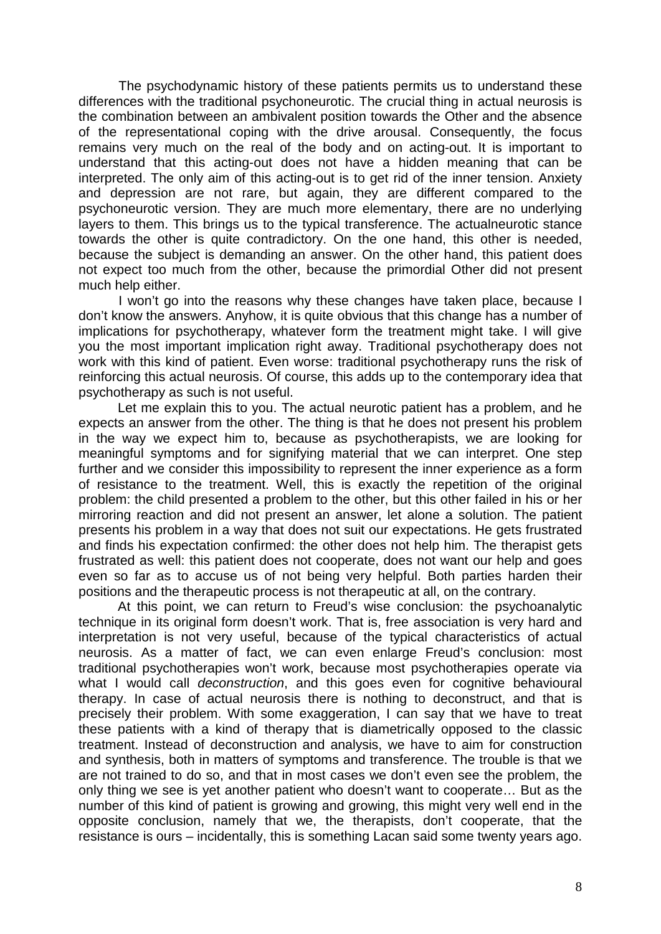The psychodynamic history of these patients permits us to understand these differences with the traditional psychoneurotic. The crucial thing in actual neurosis is the combination between an ambivalent position towards the Other and the absence of the representational coping with the drive arousal. Consequently, the focus remains very much on the real of the body and on acting-out. It is important to understand that this acting-out does not have a hidden meaning that can be interpreted. The only aim of this acting-out is to get rid of the inner tension. Anxiety and depression are not rare, but again, they are different compared to the psychoneurotic version. They are much more elementary, there are no underlying layers to them. This brings us to the typical transference. The actualneurotic stance towards the other is quite contradictory. On the one hand, this other is needed, because the subject is demanding an answer. On the other hand, this patient does not expect too much from the other, because the primordial Other did not present much help either.

I won't go into the reasons why these changes have taken place, because I don't know the answers. Anyhow, it is quite obvious that this change has a number of implications for psychotherapy, whatever form the treatment might take. I will give you the most important implication right away. Traditional psychotherapy does not work with this kind of patient. Even worse: traditional psychotherapy runs the risk of reinforcing this actual neurosis. Of course, this adds up to the contemporary idea that psychotherapy as such is not useful.

Let me explain this to you. The actual neurotic patient has a problem, and he expects an answer from the other. The thing is that he does not present his problem in the way we expect him to, because as psychotherapists, we are looking for meaningful symptoms and for signifying material that we can interpret. One step further and we consider this impossibility to represent the inner experience as a form of resistance to the treatment. Well, this is exactly the repetition of the original problem: the child presented a problem to the other, but this other failed in his or her mirroring reaction and did not present an answer, let alone a solution. The patient presents his problem in a way that does not suit our expectations. He gets frustrated and finds his expectation confirmed: the other does not help him. The therapist gets frustrated as well: this patient does not cooperate, does not want our help and goes even so far as to accuse us of not being very helpful. Both parties harden their positions and the therapeutic process is not therapeutic at all, on the contrary.

At this point, we can return to Freud's wise conclusion: the psychoanalytic technique in its original form doesn't work. That is, free association is very hard and interpretation is not very useful, because of the typical characteristics of actual neurosis. As a matter of fact, we can even enlarge Freud's conclusion: most traditional psychotherapies won't work, because most psychotherapies operate via what I would call *deconstruction*, and this goes even for cognitive behavioural therapy. In case of actual neurosis there is nothing to deconstruct, and that is precisely their problem. With some exaggeration, I can say that we have to treat these patients with a kind of therapy that is diametrically opposed to the classic treatment. Instead of deconstruction and analysis, we have to aim for construction and synthesis, both in matters of symptoms and transference. The trouble is that we are not trained to do so, and that in most cases we don't even see the problem, the only thing we see is yet another patient who doesn't want to cooperate… But as the number of this kind of patient is growing and growing, this might very well end in the opposite conclusion, namely that we, the therapists, don't cooperate, that the resistance is ours – incidentally, this is something Lacan said some twenty years ago.